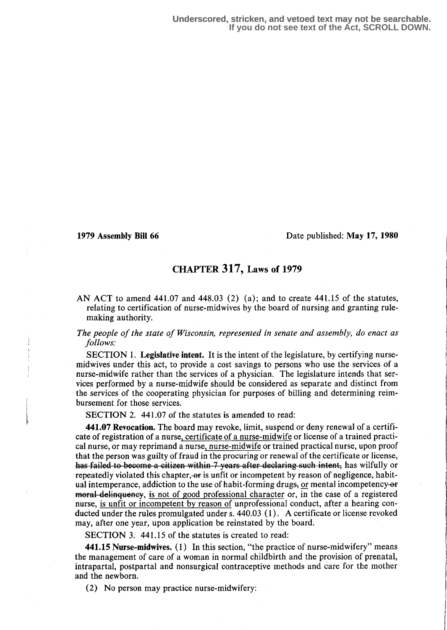## 1979 Assembly Bill 66 Date published : May 17, 1980

## CHAPTER 317, Laws of 1979

AN ACT to amend  $441.07$  and  $448.03$  (2) (a); and to create  $441.15$  of the statutes, relating to certification of nurse-midwives by the board of nursing and granting rulemaking authority.

## The people of the state of Wisconsin, represented in senate and assembly, do enact as follows.

SECTION 1. Legislative intent. It is the intent of the legislature, by certifying nursemidwives under this act, to provide a cost savings to persons who use the services of a nurse-midwife rather than the services of a physician. The legislature intends that services performed by a nurse-midwife should be considered as separate and distinct from the services of the cooperating physician for purposes of billing and determining reimbursement for those services.

SECTION 2. 441.07 of the statutes is amended to read:

441.07 Revocation. The board may revoke, limit, suspend or deny renewal of a certificate of registration of a nurse, certificate of a nurse-midwife or license of a trained practical nurse, or may reprimand a nurse, nurse-midwife or trained practical nurse, upon proof that the person was guilty of fraud in the procuring or renewal of the certificate or license, as failed to become a citizen within 7 years after declaring such intent, has wilfully or repeatedly violated this chapter, or is unfit or incompetent by reason of negligence, habitual intemperance, addiction to the use of habit-forming drugs, or mental incompetency-or fine Helinqueney, is not of good professional character or, in the case of a registered nurse, is unfit or incompetent by reason of unprofessional conduct, after a hearing conducted under the rules promulgated under s. 440.03 (1) . A certificate or license revoked may, after one year, upon application be reinstated by the board.

SECTION 3. 441.15 of the statutes is created to read:

441.15 Nurse-midwives. (1) In this section, "the practice of nurse-midwifery" means the management of care of a woman in normal childbirth and the provision of prenatal, intrapartal, postpartal and nonsurgical contraceptive methods and care for the mother and the newborn.

(2) No person may practice nurse-midwifery :